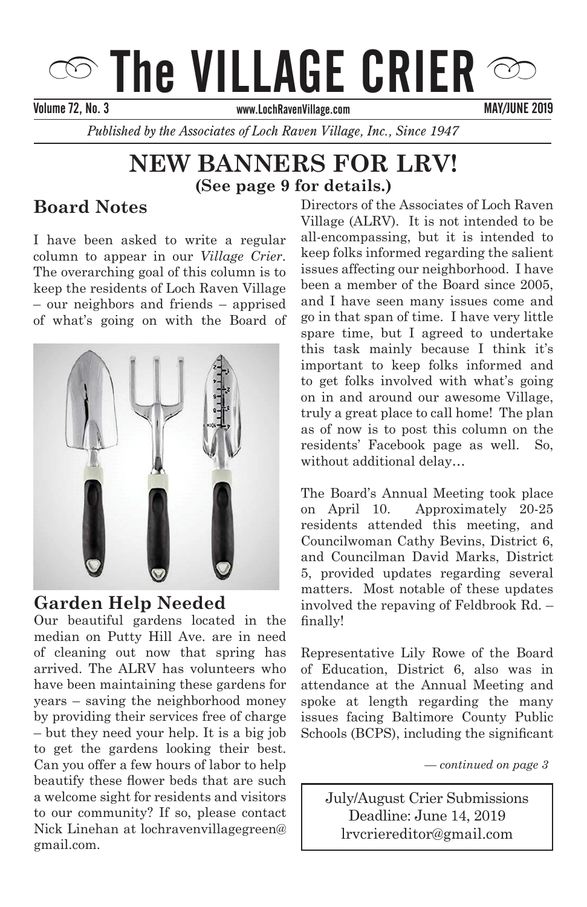# $\circledcirc$  The VILLAGE CRIER

Volume 66, No.05 SEPTEMBER/OCTOBER 2012 Volume 72, No. 3 MAY/JUNE 2019

*Published by the Associates of Loch Raven Village, Inc., Since 1947* 

# **NEW BANNERS FOR LRV! (See page 9 for details.)**

# **Board Notes**

**Letter from the President** column to appear in our *Village Crier*. The overarching goal of this column is to<br>keep the residents of Loch Raven Village  $\frac{f}{f}$  our neighbors and iriends  $\frac{f}{f}$  apprised of what's going on with the Board of I have been asked to write a regular The overarching goal of this column is to – our neighbors and friends – apprised



**Garden Help Needed** 

Our beautiful gardens located in the Our beautiful gardens located in the median on Putty Hill Ave. are in need arrived. The ALRV has volunteers who have been maintaining these gardens for years – saving the neighborhood money by providing their services free of charge – but they need your help. It is a big job to get the gardens looking their best. Can you offer a few hours of labor to help beautify these flower beds that are such a welcome sight for residents and visitors to our community? If so, please contact Nick Linehan at lochravenvillagegreen@ gmail.com. of cleaning out now that spring has

all-encompassing, but it is intended to keep folks informed regarding the salient  $\frac{1}{100}$  issues affecting our neighborhood. I have been a member of the Board since 2005, and I have seen many issues come and go in that span of time. I have very little this task manny because I think it's<br>important to keep folks informed and miportant to keep forms informed and<br>to get folks involved with what's going on in and around our awesome Village, of the and around our awesome vinage,<br>truly a great place to call home! The plan as of now is to post this column on the as of now is to post time column on the<br>residents' Facebook page as well. So, need more contributors for the Crier of the Crier and Theories and West and Theories were contributed by the C without additional delay… **LOCE Page 5 for details.)**<br>ard Notes Directors of the Associates of Loch Raven Village (ALRV). It is not intended to be and I have seen many issues come and spare time, but I agreed to undertake this task mainly because I think it's

> The Board's Annual Meeting took place on April 10. Approximately 20-25 remain of the Village Community of the Village Presidents attended this meeting, and For the contract of the building, the Councilwoman Cathy Bevins, District 6, and Councilman David Marks, District 5, provided updates regarding several matters. Most notable of these updates *–continued on page 3* involved the repaving of Feldbrook Rd. – finally!

> **FREE** Representative Lily Rowe of the Board **Pancake Breakfast with Santa!** of Education, District 6, also was in Join us for crafts, caroling, attendance at the Annual Meeting and spoke at length regarding the many **EXECUTE:** 1.4 at a property public  $\alpha$  and  $\beta$  and  $\beta$  and  $\beta$  and  $\beta$  and  $\beta$  and  $\beta$  and  $\beta$  and  $\beta$  and  $\beta$  and  $\beta$  and  $\beta$  and  $\beta$  and  $\beta$  and  $\beta$  and  $\beta$  and  $\beta$  and  $\beta$  and  $\beta$  and  $\beta$  and  $\beta$  a Schools (BCPS), including the significant

> > Associates of Loch Raven Village. *— continued on page 3*

lrvcriereditor@gmail.com *For Santa's Ride Information see page 3* July/August Crier Submissions Deadline: June 14, 2019

Deadline: December 15, 2014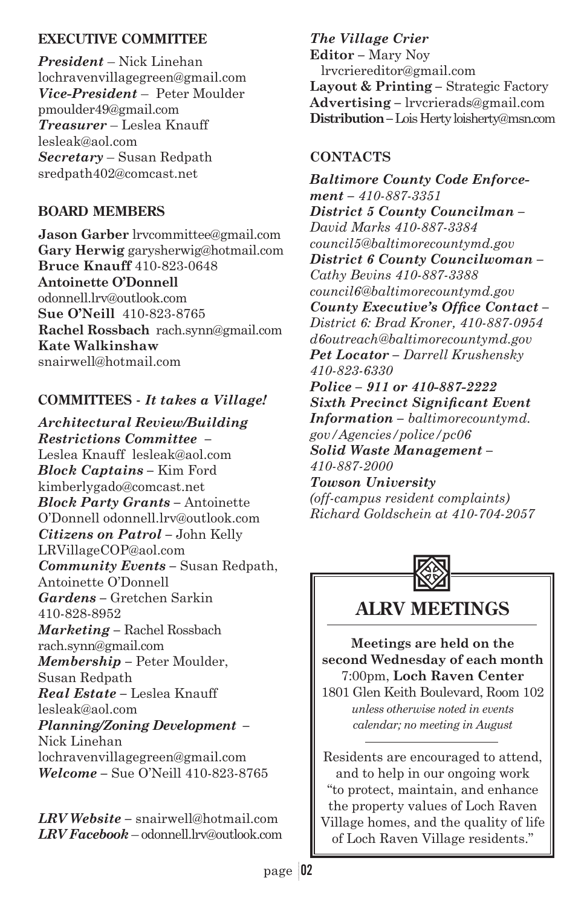### **EXECUTIVE COMMITTEE**

*President* – Nick Linehan lochravenvillagegreen@gmail.com *Vice-President* – Peter Moulder pmoulder49@gmail.com *Treasurer* – Leslea Knauff lesleak@aol.com *Secretary* – Susan Redpath sredpath402@comcast.net

### **BOARD MEMBERS**

**Jason Garber** lrvcommittee@gmail.com **Gary Herwig** garysherwig@hotmail.com **Bruce Knauff** 410-823-0648 **Antoinette O'Donnell** odonnell.lrv@outlook.com **Sue O'Neill** 410-823-8765 **Rachel Rossbach** rach.synn@gmail.com **Kate Walkinshaw** snairwell@hotmail.com

### **COMMITTEES -** *It takes a Village!*

*Architectural Review/Building Restrictions Committee –* Leslea Knauff lesleak@aol.com *Block Captains –* Kim Ford kimberlygado@comcast.net *Block Party Grants –* Antoinette O'Donnell odonnell.lrv@outlook.com *Citizens on Patrol –* John Kelly LRVillageCOP@aol.com *Community Events –* Susan Redpath, Antoinette O'Donnell *Gardens –* Gretchen Sarkin 410-828-8952 *Marketing –* Rachel Rossbach rach.synn@gmail.com *Membership –* Peter Moulder, Susan Redpath *Real Estate –* Leslea Knauff lesleak@aol.com *Planning/Zoning Development –* Nick Linehan lochravenvillagegreen@gmail.com *Welcome –* Sue O'Neill 410-823-8765

*LRV Website –* snairwell@hotmail.com *LRV Facebook* – odonnell.lrv@outlook.com *The Village Crier* 

**Editor** *–* Mary Noy lrvcriereditor@gmail.com **Layout & Printing** *–* Strategic Factory **Advertising** *–* lrvcrierads@gmail.com **Distribution** *–* Lois Herty loisherty@msn.com

### **CONTACTS**

*Baltimore County Code Enforcement – 410-887-3351 District 5 County Councilman – David Marks 410-887-3384 council5@baltimorecountymd.gov District 6 County Councilwoman – Cathy Bevins 410-887-3388 council6@baltimorecountymd.gov*  County Executive's Office Contact-*District 6: Brad Kroner, 410-887-0954 d6outreach@baltimorecountymd.gov Pet Locator – Darrell Krushensky 410-823-6330 Police – 911 or 410-887-2222 Sixth Precinct Significant Event Information – baltimorecountymd. gov/Agencies/police/pc06 Solid Waste Management – 410-887-2000 Towson University (off-campus resident complaints) Richard Goldschein at 410-704-2057*



**ALRV MEETINGS**

**Meetings are held on the second Wednesday of each month** 7:00pm, **Loch Raven Center** 1801 Glen Keith Boulevard, Room 102 *unless otherwise noted in events calendar; no meeting in August*

Residents are encouraged to attend, and to help in our ongoing work "to protect, maintain, and enhance the property values of Loch Raven Village homes, and the quality of life of Loch Raven Village residents."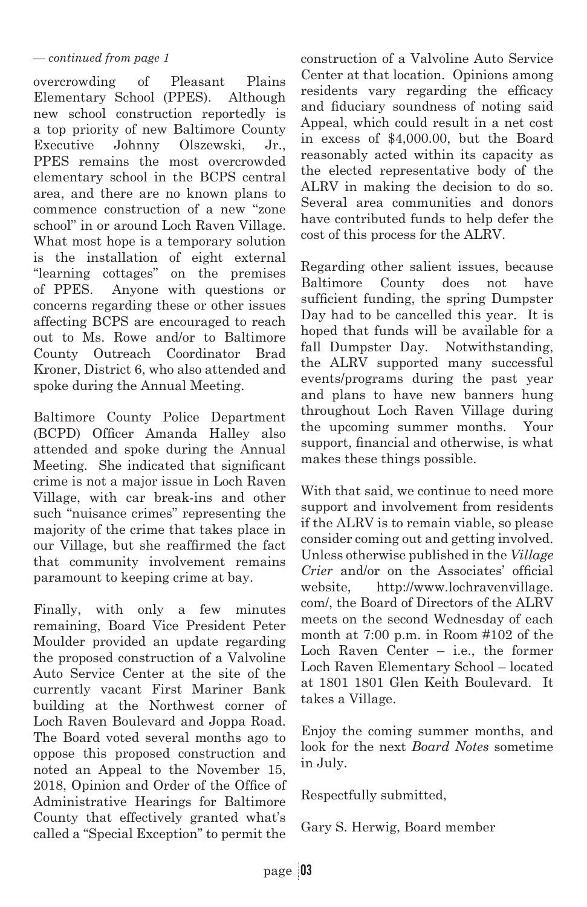### *— continued from page 1*

overcrowding of Pleasant Plains Elementary School (PPES). Although new school construction reportedly is a top priority of new Baltimore County Executive Johnny Olszewski, Jr., PPES remains the most overcrowded elementary school in the BCPS central area, and there are no known plans to commence construction of a new "zone school" in or around Loch Raven Village. What most hope is a temporary solution is the installation of eight external "learning cottages" on the premises of PPES. Anyone with questions or concerns regarding these or other issues affecting BCPS are encouraged to reach out to Ms. Rowe and/or to Baltimore County Outreach Coordinator Brad Kroner, District 6, who also attended and spoke during the Annual Meeting.

Baltimore County Police Department (BCPD) Officer Amanda Halley also attended and spoke during the Annual Meeting. She indicated that significant crime is not a major issue in Loch Raven Village, with car break-ins and other such "nuisance crimes" representing the majority of the crime that takes place in our Village, but she reaffirmed the fact that community involvement remains paramount to keeping crime at bay.

Finally, with only a few minutes remaining, Board Vice President Peter Moulder provided an update regarding the proposed construction of a Valvoline Auto Service Center at the site of the currently vacant First Mariner Bank building at the Northwest corner of Loch Raven Boulevard and Joppa Road. The Board voted several months ago to oppose this proposed construction and noted an Appeal to the November 15, 2018, Opinion and Order of the Office of Administrative Hearings for Baltimore County that effectively granted what's called a "Special Exception" to permit the

construction of a Valvoline Auto Service Center at that location. Opinions among residents vary regarding the efficacy and fiduciary soundness of noting said Appeal, which could result in a net cost in excess of \$4,000.00, but the Board reasonably acted within its capacity as the elected representative body of the ALRV in making the decision to do so. Several area communities and donors have contributed funds to help defer the cost of this process for the ALRV.

Regarding other salient issues, because Baltimore County does not have sufficient funding, the spring Dumpster Day had to be cancelled this year. It is hoped that funds will be available for a fall Dumpster Day. Notwithstanding, the ALRV supported many successful events/programs during the past year and plans to have new banners hung throughout Loch Raven Village during the upcoming summer months. Your support, financial and otherwise, is what makes these things possible.

With that said, we continue to need more support and involvement from residents if the ALRV is to remain viable, so please consider coming out and getting involved. Unless otherwise published in the *Village Crier* and/or on the Associates' official website, http://www.lochravenvillage. com/, the Board of Directors of the ALRV meets on the second Wednesday of each month at 7:00 p.m. in Room #102 of the Loch Raven Center – i.e., the former Loch Raven Elementary School – located at 1801 1801 Glen Keith Boulevard. It takes a Village.

Enjoy the coming summer months, and look for the next *Board Notes* sometime in July.

Respectfully submitted,

Gary S. Herwig, Board member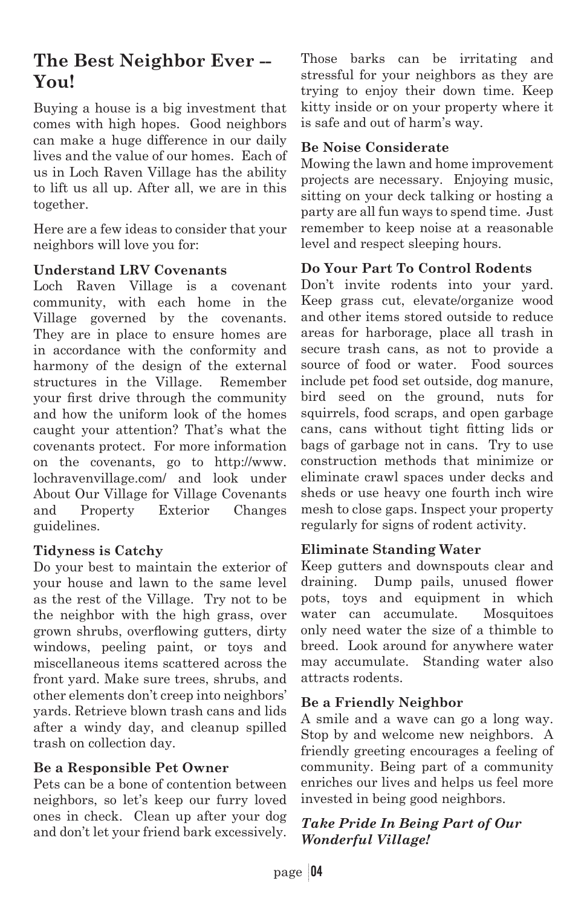# **The Best Neighbor Ever -- You!**

Buying a house is a big investment that comes with high hopes. Good neighbors can make a huge difference in our daily lives and the value of our homes. Each of us in Loch Raven Village has the ability to lift us all up. After all, we are in this together.

Here are a few ideas to consider that your neighbors will love you for:

### **Understand LRV Covenants**

Loch Raven Village is a covenant community, with each home in the Village governed by the covenants. They are in place to ensure homes are in accordance with the conformity and harmony of the design of the external structures in the Village. Remember your first drive through the community and how the uniform look of the homes caught your attention? That's what the covenants protect. For more information on the covenants, go to http://www. lochravenvillage.com/ and look under About Our Village for Village Covenants and Property Exterior Changes guidelines.

### **Tidyness is Catchy**

Do your best to maintain the exterior of your house and lawn to the same level as the rest of the Village. Try not to be the neighbor with the high grass, over grown shrubs, overflowing gutters, dirty windows, peeling paint, or toys and miscellaneous items scattered across the front yard. Make sure trees, shrubs, and other elements don't creep into neighbors' yards. Retrieve blown trash cans and lids after a windy day, and cleanup spilled trash on collection day.

### **Be a Responsible Pet Owner**

Pets can be a bone of contention between neighbors, so let's keep our furry loved ones in check. Clean up after your dog and don't let your friend bark excessively. Those barks can be irritating and stressful for your neighbors as they are trying to enjoy their down time. Keep kitty inside or on your property where it is safe and out of harm's way.

### **Be Noise Considerate**

Mowing the lawn and home improvement projects are necessary. Enjoying music, sitting on your deck talking or hosting a party are all fun ways to spend time. Just remember to keep noise at a reasonable level and respect sleeping hours.

### **Do Your Part To Control Rodents**

Don't invite rodents into your yard. Keep grass cut, elevate/organize wood and other items stored outside to reduce areas for harborage, place all trash in secure trash cans, as not to provide a source of food or water. Food sources include pet food set outside, dog manure, bird seed on the ground, nuts for squirrels, food scraps, and open garbage cans, cans without tight fitting lids or bags of garbage not in cans. Try to use construction methods that minimize or eliminate crawl spaces under decks and sheds or use heavy one fourth inch wire mesh to close gaps. Inspect your property regularly for signs of rodent activity.

### **Eliminate Standing Water**

Keep gutters and downspouts clear and draining. Dump pails, unused flower pots, toys and equipment in which water can accumulate. Mosquitoes only need water the size of a thimble to breed. Look around for anywhere water may accumulate. Standing water also attracts rodents.

### **Be a Friendly Neighbor**

A smile and a wave can go a long way. Stop by and welcome new neighbors. A friendly greeting encourages a feeling of community. Being part of a community enriches our lives and helps us feel more invested in being good neighbors.

### *Take Pride In Being Part of Our Wonderful Village!*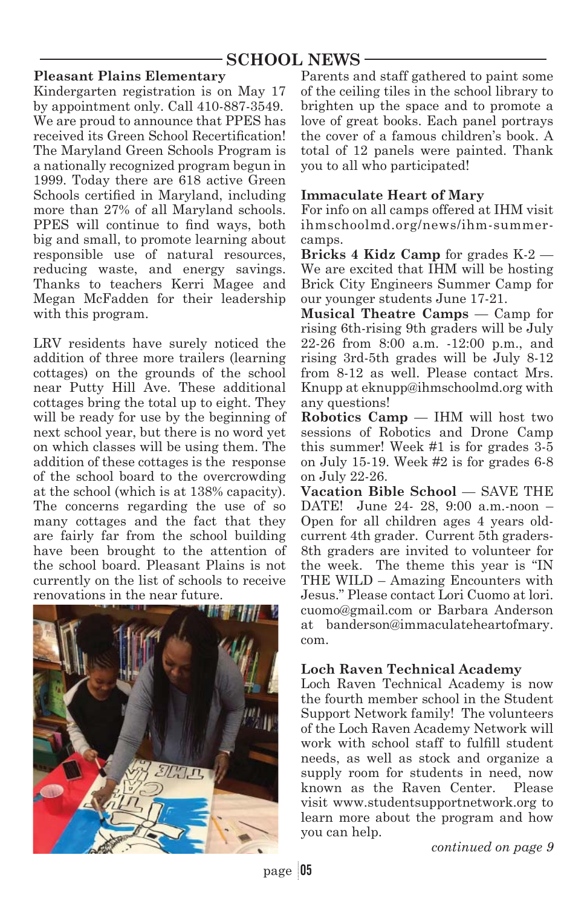### **SCHOOL NEWS**

### **Pleasant Plains Elementary**

Kindergarten registration is on May 17 by appointment only. Call 410-887-3549. We are proud to announce that PPES has received its Green School Recertification! The Maryland Green Schools Program is a nationally recognized program begun in 1999. Today there are 618 active Green Schools certified in Maryland, including more than 27% of all Maryland schools. PPES will continue to find ways, both big and small, to promote learning about responsible use of natural resources, reducing waste, and energy savings. Thanks to teachers Kerri Magee and Megan McFadden for their leadership with this program.

LRV residents have surely noticed the addition of three more trailers (learning cottages) on the grounds of the school near Putty Hill Ave. These additional cottages bring the total up to eight. They will be ready for use by the beginning of next school year, but there is no word yet on which classes will be using them. The addition of these cottages is the response of the school board to the overcrowding at the school (which is at 138% capacity). The concerns regarding the use of so many cottages and the fact that they are fairly far from the school building have been brought to the attention of the school board. Pleasant Plains is not currently on the list of schools to receive renovations in the near future.



Parents and staff gathered to paint some of the ceiling tiles in the school library to brighten up the space and to promote a love of great books. Each panel portrays the cover of a famous children's book. A total of 12 panels were painted. Thank you to all who participated!

### **Immaculate Heart of Mary**

For info on all camps offered at IHM visit ihmschoolmd.org/news/ihm-summercamps.

**Bricks 4 Kidz Camp** for grades K-2 — We are excited that IHM will be hosting Brick City Engineers Summer Camp for our younger students June 17-21.

**Musical Theatre Camps** — Camp for rising 6th-rising 9th graders will be July 22-26 from 8:00 a.m. -12:00 p.m., and rising 3rd-5th grades will be July 8-12 from 8-12 as well. Please contact Mrs. Knupp at eknupp@ihmschoolmd.org with any questions!

**Robotics Camp** — IHM will host two sessions of Robotics and Drone Camp this summer! Week #1 is for grades 3-5 on July 15-19. Week #2 is for grades 6-8 on July 22-26.

**Vacation Bible School** — SAVE THE DATE! June 24- 28, 9:00 a.m.-noon – Open for all children ages 4 years oldcurrent 4th grader. Current 5th graders-8th graders are invited to volunteer for the week. The theme this year is "IN THE WILD – Amazing Encounters with Jesus." Please contact Lori Cuomo at lori. cuomo@gmail.com or Barbara Anderson at banderson@immaculateheartofmary. com.

### **Loch Raven Technical Academy**

Loch Raven Technical Academy is now the fourth member school in the Student Support Network family! The volunteers of the Loch Raven Academy Network will work with school staff to fulfill student needs, as well as stock and organize a supply room for students in need, now known as the Raven Center. Please visit www.studentsupportnetwork.org to learn more about the program and how you can help.

*continued on page 9*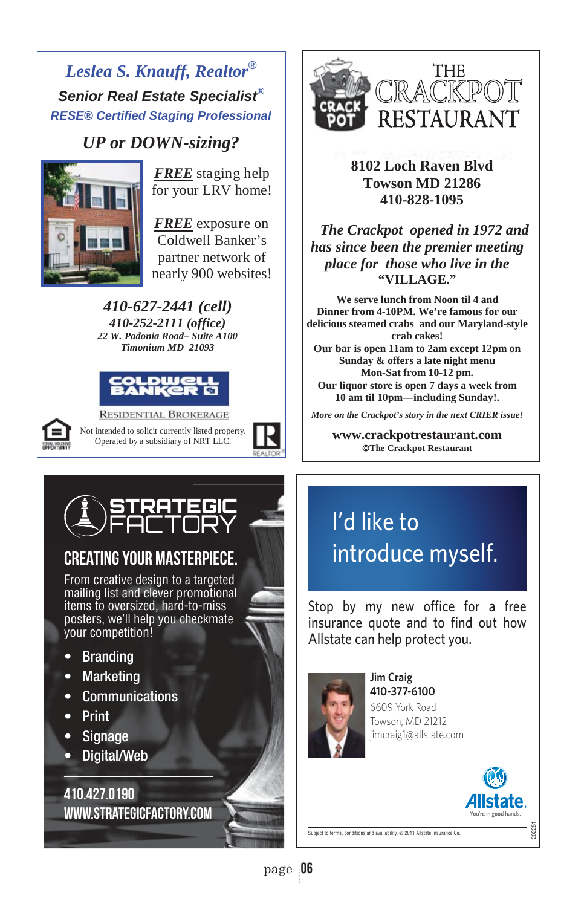# *Leslea S. Knauff, Realtor® Senior Real Estate Specialist® RESE® Certified Staging Professional*

# *UP or DOWN-sizing?*<br>FREE staging help



for your LRV home!

nearly 900 websites! *FREE* exposure on Coldwell Banker's partner network of

*410-627-2441 (cell) 410-252-2111 (office) 22 W. Padonia Road– Suite A100 Timonium MD 21093* 





**RESIDENTIAL BROKERAGE** Not intended to solicit currently listed property. Operated by a subsidiary of NRT LLC.





**8102 Loch Raven Blvd Towson MD 21286 410-828-1095** 

 *The Crackpot opened in 1972 and has since been the premier meeting place for those who live in the*  **"VILLAGE."** 

**We serve lunch from Noon til 4 and Dinner from 4-10PM. We're famous for our delicious steamed crabs and our Maryland-style crab cakes! Our bar is open 11am to 2am except 12pm on Sunday & offers a late night menu Mon-Sat from 10-12 pm.** 

**Our liquor store is open 7 days a week from 10 am til 10pm—including Sunday!.** 

¤ ¤ *More on the Crackpot's story in the next CRIER issue!*

¤ **www.crackpotrestaurant.com ©The Crackpot Restaurant** 



# CREATING YOUR MASTERPIECE.

From creative design to a targeted mailing list and clever promotional items to oversized, hard-to-miss posters, we'll help you checkmate your competition!

- Branding
- Marketing
- Communications
- Print
- Signage
- Digital/Web

410.427.0190 www.strategicfactory.com

# I'd like to introduce myself.

Stop by my new office for a free insurance quote and to find out how Allstate can help protect you.



**Jim Craig** 410-377-6100 6609 York Road Towson, MD 21212 jimcraig1@allstate.com



202251

Subject to terms, conditions and availability. © 2011 Allstate Insurance Co.

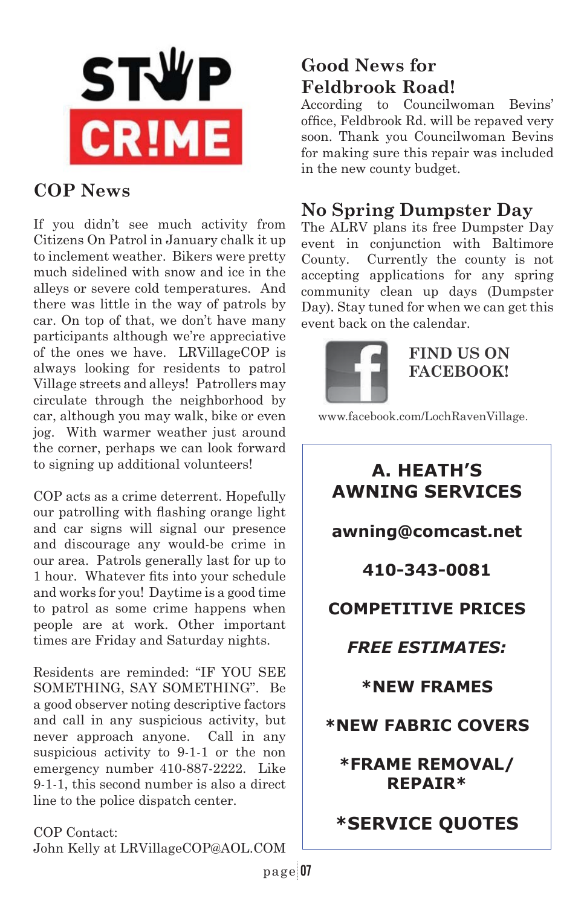

# **COP News**

If you didn't see much activity from Citizens On Patrol in January chalk it up to inclement weather. Bikers were pretty much sidelined with snow and ice in the alleys or severe cold temperatures. And there was little in the way of patrols by car. On top of that, we don't have many participants although we're appreciative of the ones we have. LRVillageCOP is always looking for residents to patrol Village streets and alleys! Patrollers may circulate through the neighborhood by car, although you may walk, bike or even jog. With warmer weather just around the corner, perhaps we can look forward to signing up additional volunteers!

COP acts as a crime deterrent. Hopefully our patrolling with flashing orange light and car signs will signal our presence and discourage any would-be crime in our area. Patrols generally last for up to 1 hour. Whatever fits into your schedule and works for you! Daytime is a good time to patrol as some crime happens when people are at work. Other important times are Friday and Saturday nights.

Residents are reminded: "IF YOU SEE SOMETHING, SAY SOMETHING". Be a good observer noting descriptive factors and call in any suspicious activity, but never approach anyone. Call in any suspicious activity to 9-1-1 or the non emergency number 410-887-2222. Like 9-1-1, this second number is also a direct line to the police dispatch center.

COP Contact: John Kelly at LRVillageCOP@AOL.COM

# **Good News for Feldbrook Road!**

According to Councilwoman Bevins' office, Feldbrook Rd. will be repaved very soon. Thank you Councilwoman Bevins for making sure this repair was included in the new county budget.

# **No Spring Dumpster Day**

The ALRV plans its free Dumpster Day event in conjunction with Baltimore County. Currently the county is not accepting applications for any spring community clean up days (Dumpster Day). Stay tuned for when we can get this event back on the calendar.



### **FIND US ON FACEBOOK!**

www.facebook.com/LochRavenVillage.

# **A. HEATH'S AWNING SERVICES**

**awning@comcast.net** 

**410-343-0081** 

## **COMPETITIVE PRICES**

# *FREE ESTIMATES:*

**\*NEW FRAMES** 

## **\*NEW FABRIC COVERS**

**\*FRAME REMOVAL/ REPAIR\*** 

# **\*SERVICE QUOTES**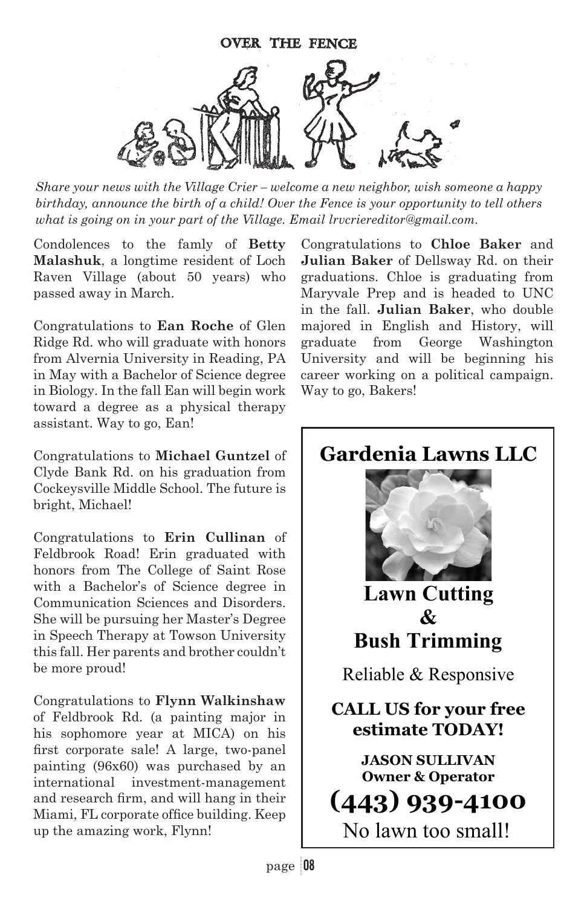

*Share your news with the Village Crier – welcome a new neighbor, wish someone a happy birthday, announce the birth of a child! Over the Fence is your opportunity to tell others what is going on in your part of the Village. Email lrvcriereditor@gmail.com.*

Condolences to the famly of **Betty Malashuk**, a longtime resident of Loch Raven Village (about 50 years) who passed away in March.

Congratulations to **Ean Roche** of Glen Ridge Rd. who will graduate with honors from Alvernia University in Reading, PA in May with a Bachelor of Science degree in Biology. In the fall Ean will begin work toward a degree as a physical therapy assistant. Way to go, Ean!

Congratulations to **Michael Guntzel** of Clyde Bank Rd. on his graduation from Cockeysville Middle School. The future is bright, Michael!

Congratulations to **Erin Cullinan** of Feldbrook Road! Erin graduated with honors from The College of Saint Rose with a Bachelor's of Science degree in Communication Sciences and Disorders. She will be pursuing her Master's Degree in Speech Therapy at Towson University this fall. Her parents and brother couldn't be more proud!

Congratulations to **Flynn Walkinshaw**  of Feldbrook Rd. (a painting major in his sophomore year at MICA) on his first corporate sale! A large, two-panel painting (96x60) was purchased by an international investment-management and research firm, and will hang in their Miami, FL corporate office building. Keep up the amazing work, Flynn!

Congratulations to **Chloe Baker** and **Julian Baker** of Dellsway Rd. on their graduations. Chloe is graduating from Maryvale Prep and is headed to UNC in the fall. **Julian Baker**, who double majored in English and History, will graduate from George Washington University and will be beginning his career working on a political campaign. Way to go, Bakers!

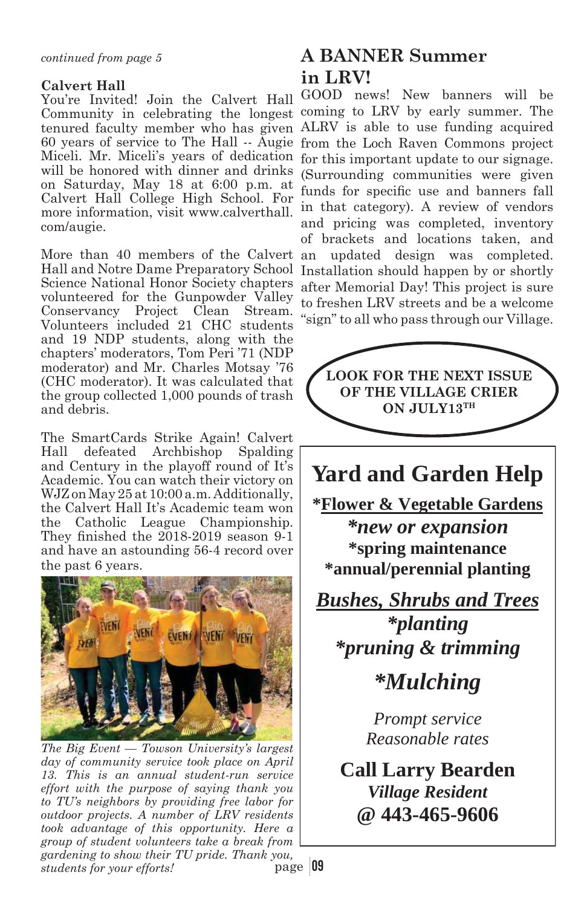### **Calvert Hall**

You're Invited! Join the Calvert Hall Community in celebrating the longest Miceli. Mr. Miceli's years of dedication will be honored with dinner and drinks on Saturday, May 18 at 6:00 p.m. at Calvert Hall College High School. For more information, visit www.calverthall. com/augie.

More than 40 members of the Calvert Hall and Notre Dame Preparatory School Science National Honor Society chapters volunteered for the Gunpowder Valley Conservancy Project Clean Stream. Volunteers included 21 CHC students and 19 NDP students, along with the chapters' moderators, Tom Peri '71 (NDP moderator) and Mr. Charles Motsay '76 (CHC moderator). It was calculated that the group collected 1,000 pounds of trash and debris.

The SmartCards Strike Again! Calvert Hall defeated Archbishop Spalding and Century in the playoff round of It's Academic. You can watch their victory on WJZ on May 25 at 10:00 a.m. Additionally, the Calvert Hall It's Academic team won the Catholic League Championship. They finished the  $2018-2019$  season  $9-1$ and have an astounding 56-4 record over the past 6 years.



*The Big Event — Towson University's largest day of community service took place on April 13. This is an annual student-run service effort with the purpose of saying thank you to TU's neighbors by providing free labor for outdoor projects. A number of LRV residents took advantage of this opportunity. Here a group of student volunteers take a break from gardening to show their TU pride. Thank you, students for your efforts!*

# **A BANNER Summer in LRV!**

tenured faculty member who has given ALRV is able to use funding acquired 60 years of service to The Hall -- Augie from the Loch Raven Commons project GOOD news! New banners will be coming to LRV by early summer. The for this important update to our signage. (Surrounding communities were given funds for specific use and banners fall in that category). A review of vendors and pricing was completed, inventory of brackets and locations taken, and an updated design was completed. Installation should happen by or shortly after Memorial Day! This project is sure to freshen LRV streets and be a welcome "sign" to all who pass through our Village.



 $p_{\text{age}}$  09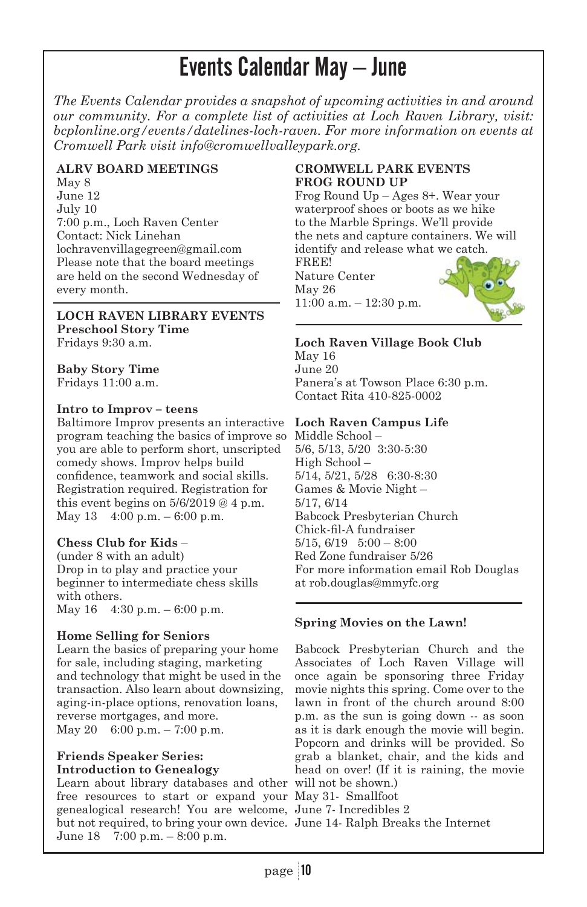# Events Calendar May – June

*The Events Calendar provides a snapshot of upcoming activities in and around our community. For a complete list of activities at Loch Raven Library, visit: bcplonline.org/events/datelines-loch-raven. For more information on events at Cromwell Park visit info@cromwellvalleypark.org.* 

### **ALRV BOARD MEETINGS**

May 8 June 12 July 10 7:00 p.m., Loch Raven Center Contact: Nick Linehan lochravenvillagegreen@gmail.com Please note that the board meetings are held on the second Wednesday of every month.

#### **LOCH RAVEN LIBRARY EVENTS Preschool Story Time**

Fridays 9:30 a.m.

### **Baby Story Time**

Fridays 11:00 a.m.

### **Intro to Improv – teens**

Baltimore Improv presents an interactive **Loch Raven Campus Life** program teaching the basics of improve so Middle School – you are able to perform short, unscripted comedy shows. Improv helps build confidence, teamwork and social skills. Registration required. Registration for this event begins on  $5/6/2019 @ 4 p.m.$ May 13 4:00 p.m. – 6:00 p.m.

### **Chess Club for Kids** –

(under 8 with an adult) Drop in to play and practice your beginner to intermediate chess skills with others. May 16 4:30 p.m. – 6:00 p.m.

### **Home Selling for Seniors**

Learn the basics of preparing your home for sale, including staging, marketing and technology that might be used in the transaction. Also learn about downsizing, aging-in-place options, renovation loans, reverse mortgages, and more. May 20 6:00 p.m. – 7:00 p.m.

### **Friends Speaker Series: Introduction to Genealogy**

Learn about library databases and other will not be shown.) free resources to start or expand your May 31- Smallfoot genealogical research! You are welcome, June 7- Incredibles 2 but not required, to bring your own device. June 14- Ralph Breaks the InternetJune 18 7:00 p.m. – 8:00 p.m.

### **CROMWELL PARK EVENTS FROG ROUND UP**

Frog Round Up – Ages 8+. Wear your waterproof shoes or boots as we hike to the Marble Springs. We'll provide the nets and capture containers. We will identify and release what we catch.

FREE! Nature Center May 26 11:00 a.m. – 12:30 p.m.



### **Loch Raven Village Book Club**

May 16 June 20 Panera's at Towson Place 6:30 p.m. Contact Rita 410-825-0002

5/6, 5/13, 5/20 3:30-5:30 High School – 5/14, 5/21, 5/28 6:30-8:30 Games & Movie Night – 5/17, 6/14 Babcock Presbyterian Church Chick-fil-A fundraiser  $5/15, 6/19$   $5:00 - 8:00$ Red Zone fundraiser 5/26 For more information email Rob Douglas at rob.douglas@mmyfc.org

### **Spring Movies on the Lawn!**

Babcock Presbyterian Church and the Associates of Loch Raven Village will once again be sponsoring three Friday movie nights this spring. Come over to the lawn in front of the church around 8:00 p.m. as the sun is going down -- as soon as it is dark enough the movie will begin. Popcorn and drinks will be provided. So grab a blanket, chair, and the kids and head on over! (If it is raining, the movie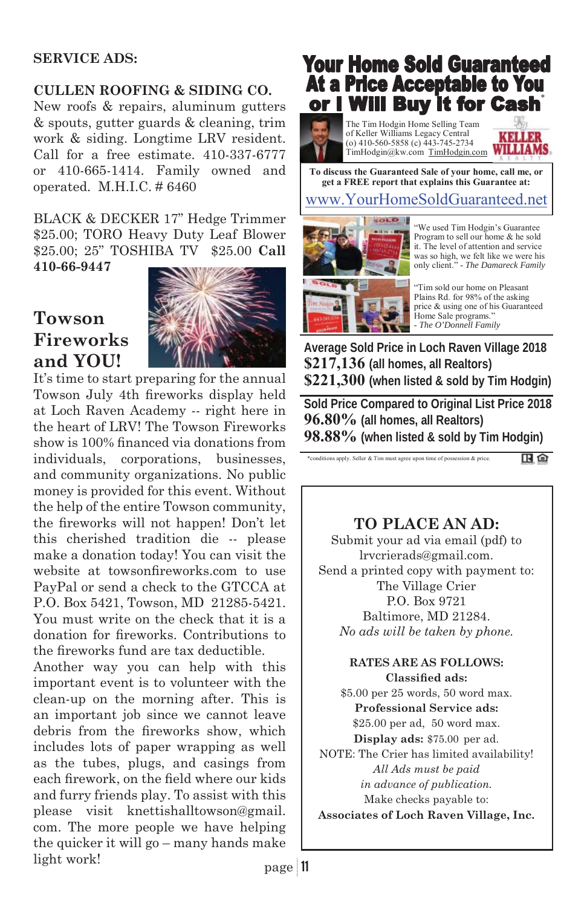### **SERVICE ADS:**

### **CULLEN ROOFING & SIDING CO.**

New roofs & repairs, aluminum gutters & spouts, gutter guards & cleaning, trim work & siding. Longtime LRV resident. Call for a free estimate. 410-337-6777 or 410-665-1414. Family owned and operated. M.H.I.C. # 6460

BLACK & DECKER 17" Hedge Trimmer \$25.00; TORO Heavy Duty Leaf Blower \$25.00; 25" TOSHIBA TV \$25.00 **Call 410-66-9447**

**Towson Fireworks and YOU!**



It's time to start preparing for the annual Towson July 4th fireworks display held at Loch Raven Academy -- right here in the heart of LRV! The Towson Fireworks show is 100% financed via donations from individuals, corporations, businesses, and community organizations. No public money is provided for this event. Without the help of the entire Towson community, the fireworks will not happen! Don't let this cherished tradition die -- please make a donation today! You can visit the website at towsonfireworks.com to use PayPal or send a check to the GTCCA at P.O. Box 5421, Towson, MD 21285-5421. You must write on the check that it is a donation for fireworks. Contributions to the fireworks fund are tax deductible.

Another way you can help with this important event is to volunteer with the clean-up on the morning after. This is an important job since we cannot leave debris from the fireworks show, which includes lots of paper wrapping as well as the tubes, plugs, and casings from each firework, on the field where our kids and furry friends play. To assist with this please visit knettishalltowson@gmail. com. The more people we have helping the quicker it will go – many hands make light work!

## **Your Home Sold Guaranteed At a Price Acceptable to You** or I Will Buy it for Cash

The Tim Hodgin Home Selling Team of Keller Williams Legacy Central (o) 410-560-5858 (c) 443-745-2734 TimHodgin@kw.com TimHodgin.com WILLIAMS



www.YourHomeSoldGuaranteed.net **To discuss the Guaranteed Sale of your home, call me, or get a FREE report that explains this Guarantee at:** 



"We used Tim Hodgin's Guarantee Program to sell our home & he sold it. The level of attention and service was so high, we felt like we were his only client." - *The Damareck Family*

"Tim sold our home on Pleasant Plains Rd. for 98% of the asking price & using one of his Guaranteed Home Sale programs." - *The O'Donnell Family*

**Average Sold Price in Loch Raven Village 2018 \$217,136 (all homes, all Realtors) \$221,300 (when listed & sold by Tim Hodgin)** 

**Sold Price Compared to Original List Price 2018 96.80% (all homes, all Realtors) 98.88% (when listed & sold by Tim Hodgin)**

\*conditions apply. Seller & Tim must agree upon time of possession & price.

田白

### **TO PLACE AN AD:**

Submit your ad via email (pdf) to lrvcrierads@gmail.com. Send a printed copy with payment to: The Village Crier P.O. Box 9721 Baltimore, MD 21284. *No ads will be taken by phone.*

#### **RATES ARE AS FOLLOWS: Classified ads:**

\$5.00 per 25 words, 50 word max. **Professional Service ads:** \$25.00 per ad, 50 word max. **Display ads:** \$75.00 per ad. NOTE: The Crier has limited availability! *All Ads must be paid in advance of publication.*  Make checks payable to: **Associates of Loch Raven Village, Inc.**